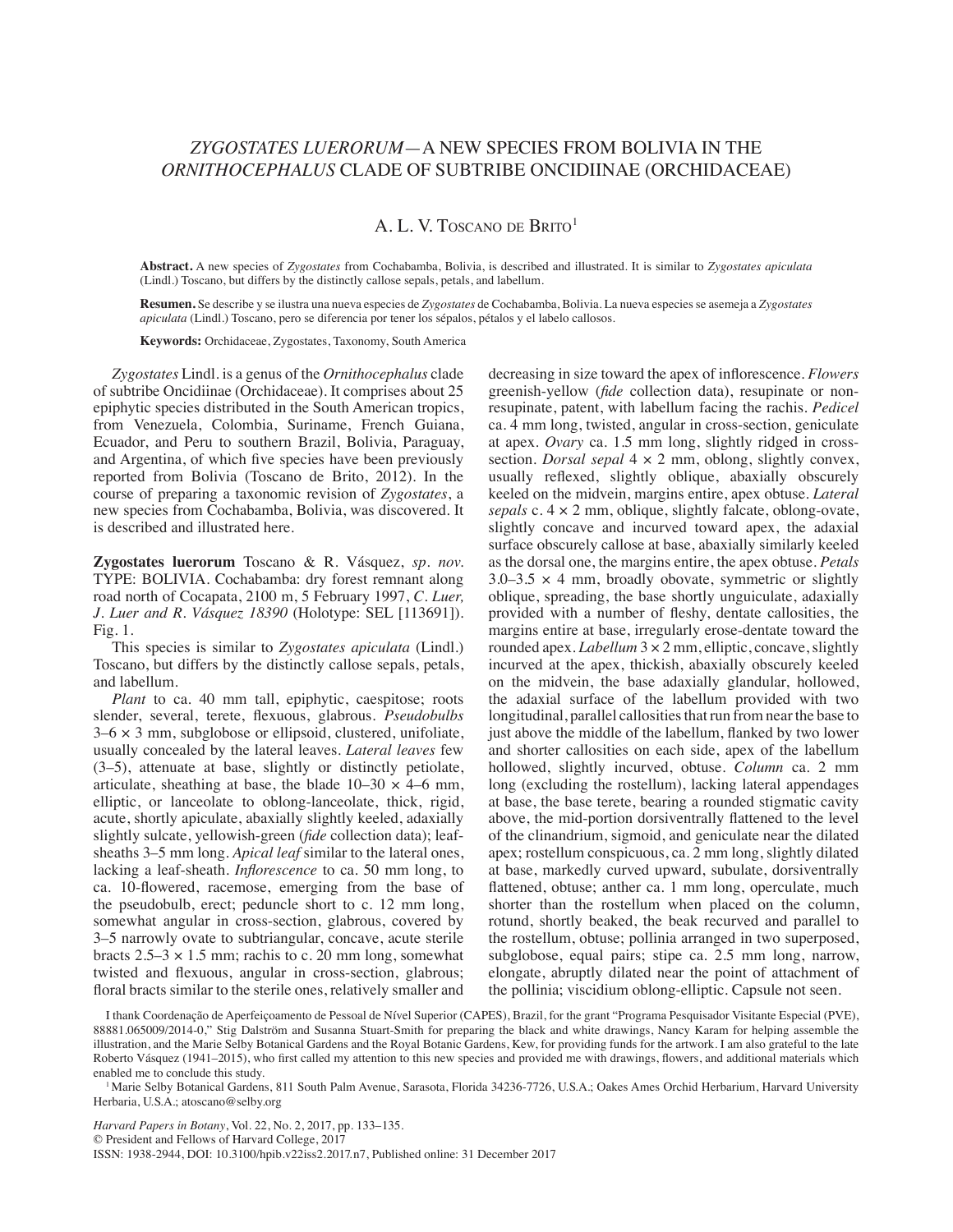## *Zygostates luerorum*—A new species from Bolivia in the *Ornithocephalus* clade of subtribe Oncidiinae (Orchidaceae)

## A. L. V. TOSCANO DE BRITO<sup>1</sup>

**Abstract.** A new species of *Zygostates* from Cochabamba, Bolivia, is described and illustrated. It is similar to *Zygostates apiculata*  (Lindl.) Toscano, but differs by the distinctly callose sepals, petals, and labellum.

**Resumen.** Se describe y se ilustra una nueva especies de *Zygostates* de Cochabamba, Bolivia. La nueva especies se asemeja a *Zygostates apiculata* (Lindl.) Toscano, pero se diferencia por tener los sépalos, pétalos y el labelo callosos.

**Keywords:** Orchidaceae, Zygostates, Taxonomy, South America

*Zygostates* Lindl. is a genus of the *Ornithocephalus* clade of subtribe Oncidiinae (Orchidaceae). It comprises about 25 epiphytic species distributed in the South American tropics, from Venezuela, Colombia, Suriname, French Guiana, Ecuador, and Peru to southern Brazil, Bolivia, Paraguay, and Argentina, of which five species have been previously reported from Bolivia (Toscano de Brito, 2012). In the course of preparing a taxonomic revision of *Zygostates*, a new species from Cochabamba, Bolivia, was discovered. It is described and illustrated here.

**Zygostates luerorum** Toscano & R. Vásquez, *sp. nov.* TYPE: BOLIVIA. Cochabamba: dry forest remnant along road north of Cocapata, 2100 m, 5 February 1997, *C. Luer, J. Luer and R. Vásquez 18390* (Holotype: SEL [113691]). Fig. 1.

This species is similar to *Zygostates apiculata* (Lindl.) Toscano, but differs by the distinctly callose sepals, petals, and labellum.

*Plant* to ca. 40 mm tall, epiphytic, caespitose; roots slender, several, terete, flexuous, glabrous. *Pseudobulbs*  $3-6 \times 3$  mm, subglobose or ellipsoid, clustered, unifoliate, usually concealed by the lateral leaves. *Lateral leaves* few (3–5), attenuate at base, slightly or distinctly petiolate, articulate, sheathing at base, the blade  $10-30 \times 4-6$  mm, elliptic, or lanceolate to oblong-lanceolate, thick, rigid, acute, shortly apiculate, abaxially slightly keeled, adaxially slightly sulcate, yellowish-green (*fide* collection data); leafsheaths 3–5 mm long. *Apical leaf* similar to the lateral ones, lacking a leaf-sheath. *Inflorescence* to ca. 50 mm long, to ca. 10-flowered, racemose, emerging from the base of the pseudobulb, erect; peduncle short to c. 12 mm long, somewhat angular in cross-section, glabrous, covered by 3–5 narrowly ovate to subtriangular, concave, acute sterile bracts  $2.5-3 \times 1.5$  mm; rachis to c. 20 mm long, somewhat twisted and flexuous, angular in cross-section, glabrous; floral bracts similar to the sterile ones, relatively smaller and

decreasing in size toward the apex of inflorescence. *Flowers* greenish-yellow (*fide* collection data), resupinate or nonresupinate, patent, with labellum facing the rachis. *Pedicel* ca. 4 mm long, twisted, angular in cross-section, geniculate at apex. *Ovary* ca. 1.5 mm long, slightly ridged in crosssection. *Dorsal sepal* 4 × 2 mm, oblong, slightly convex, usually reflexed, slightly oblique, abaxially obscurely keeled on the midvein, margins entire, apex obtuse. *Lateral sepals* c. 4 × 2 mm, oblique, slightly falcate, oblong-ovate, slightly concave and incurved toward apex, the adaxial surface obscurely callose at base, abaxially similarly keeled as the dorsal one, the margins entire, the apex obtuse. *Petals*  $3.0-3.5 \times 4$  mm, broadly obovate, symmetric or slightly oblique, spreading, the base shortly unguiculate, adaxially provided with a number of fleshy, dentate callosities, the margins entire at base, irregularly erose-dentate toward the rounded apex. *Labellum* 3 × 2 mm, elliptic, concave, slightly incurved at the apex, thickish, abaxially obscurely keeled on the midvein, the base adaxially glandular, hollowed, the adaxial surface of the labellum provided with two longitudinal, parallel callosities that run from near the base to just above the middle of the labellum, flanked by two lower and shorter callosities on each side, apex of the labellum hollowed, slightly incurved, obtuse. *Column* ca. 2 mm long (excluding the rostellum), lacking lateral appendages at base, the base terete, bearing a rounded stigmatic cavity above, the mid-portion dorsiventrally flattened to the level of the clinandrium, sigmoid, and geniculate near the dilated apex; rostellum conspicuous, ca. 2 mm long, slightly dilated at base, markedly curved upward, subulate, dorsiventrally flattened, obtuse; anther ca. 1 mm long, operculate, much shorter than the rostellum when placed on the column, rotund, shortly beaked, the beak recurved and parallel to the rostellum, obtuse; pollinia arranged in two superposed, subglobose, equal pairs; stipe ca. 2.5 mm long, narrow, elongate, abruptly dilated near the point of attachment of the pollinia; viscidium oblong-elliptic. Capsule not seen.

I thank Coordenação de Aperfeiçoamento de Pessoal de Nível Superior (CAPES), Brazil, for the grant "Programa Pesquisador Visitante Especial (PVE), 88881.065009/2014-0," Stig Dalström and Susanna Stuart-Smith for preparing the black and white drawings, Nancy Karam for helping assemble the illustration, and the Marie Selby Botanical Gardens and the Royal Botanic Gardens, Kew, for providing funds for the artwork. I am also grateful to the late Roberto Vásquez (1941–2015), who first called my attention to this new species and provided me with drawings, flowers, and additional materials which enabled me to conclude this study.

<sup>1</sup> Marie Selby Botanical Gardens, 811 South Palm Avenue, Sarasota, Florida 34236-7726, U.S.A.; Oakes Ames Orchid Herbarium, Harvard University Herbaria, U.S.A.; atoscano@selby.org

*Harvard Papers in Botany*, Vol. 22, No. 2, 2017, pp. 133–135. © President and Fellows of Harvard College, 2017 ISSN: 1938-2944, DOI: 10.3100/hpib.v22iss2.2017.n7, Published online: 31 December 2017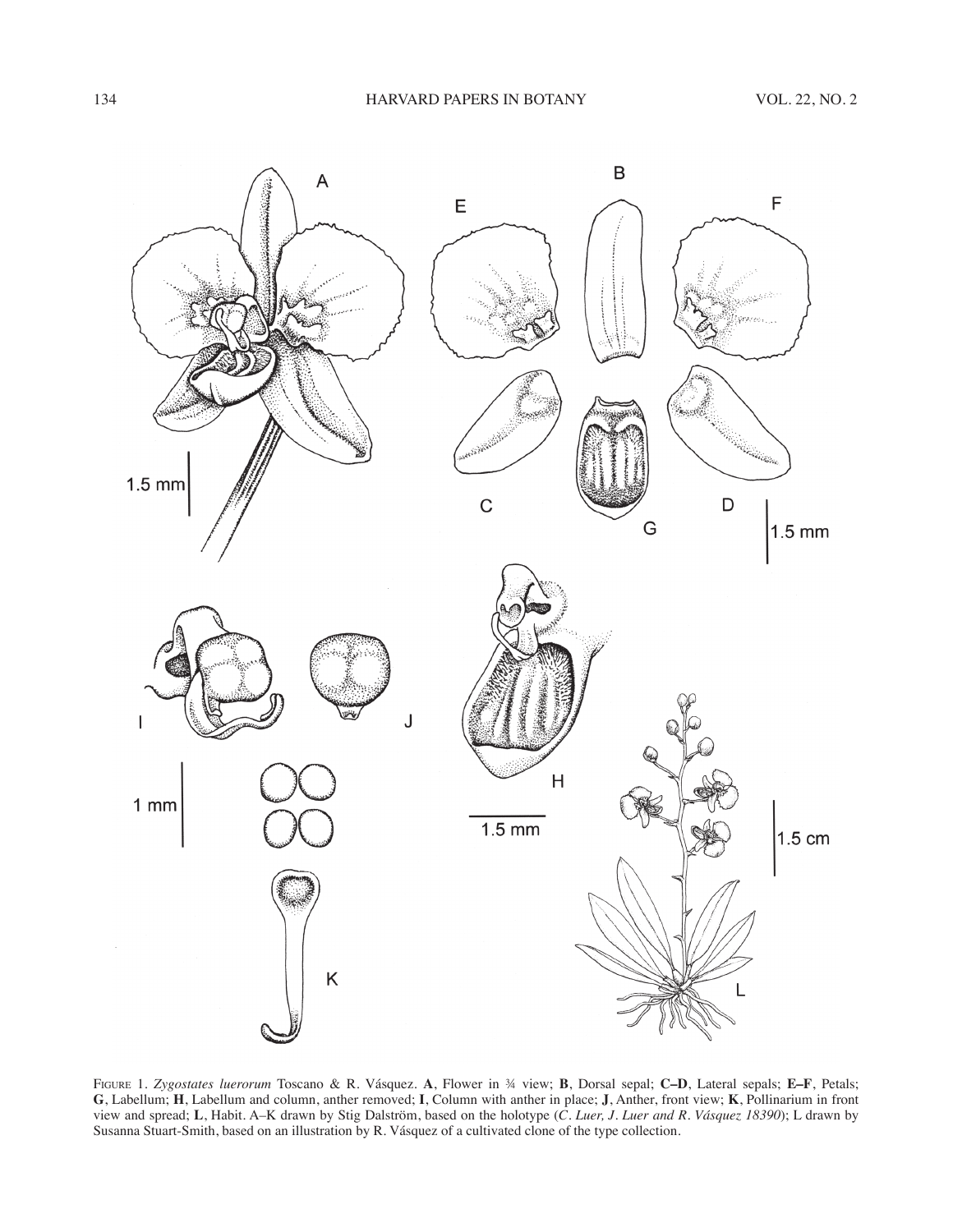

Figure 1. *Zygostates luerorum* Toscano & R. Vásquez. **A**, Flower in ¾ view; **B**, Dorsal sepal; **C–D**, Lateral sepals; **E–F**, Petals; **G**, Labellum; **H**, Labellum and column, anther removed; **I**, Column with anther in place; **J**, Anther, front view; **K**, Pollinarium in front view and spread; **L**, Habit. A–K drawn by Stig Dalström, based on the holotype (*C. Luer, J. Luer and R. Vásquez 18390*); L drawn by Susanna Stuart-Smith, based on an illustration by R. Vásquez of a cultivated clone of the type collection.